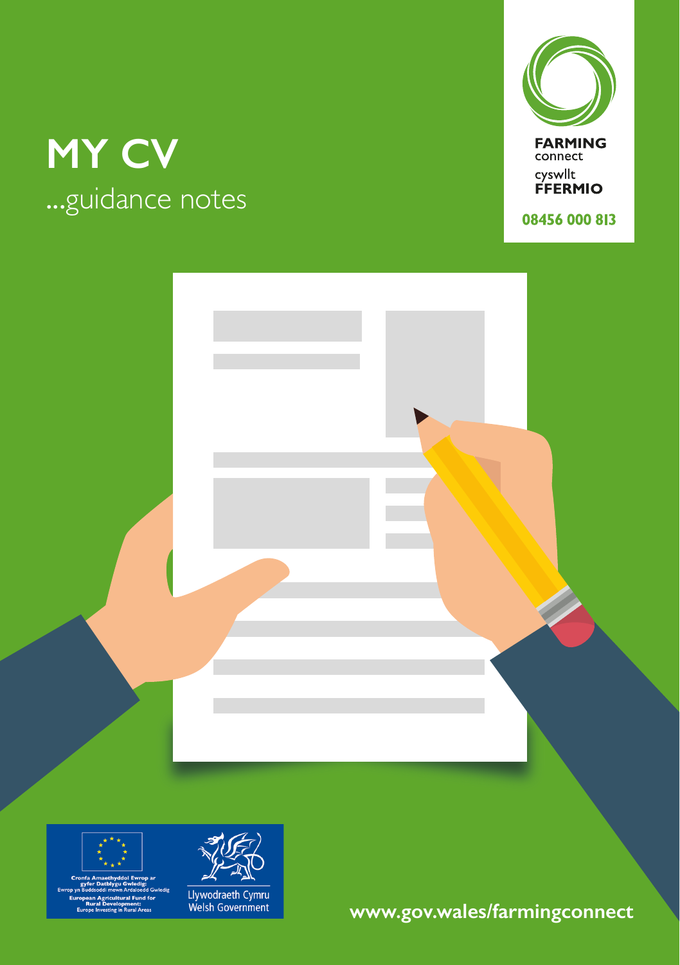### **MY CV** ...guidance notes



**FARMING**<br>connect cyswllt<br>FFERMIO

08456 000 813







Llywodraeth Cymru<br>Welsh Government

**www.gov.wales/farmingconnect**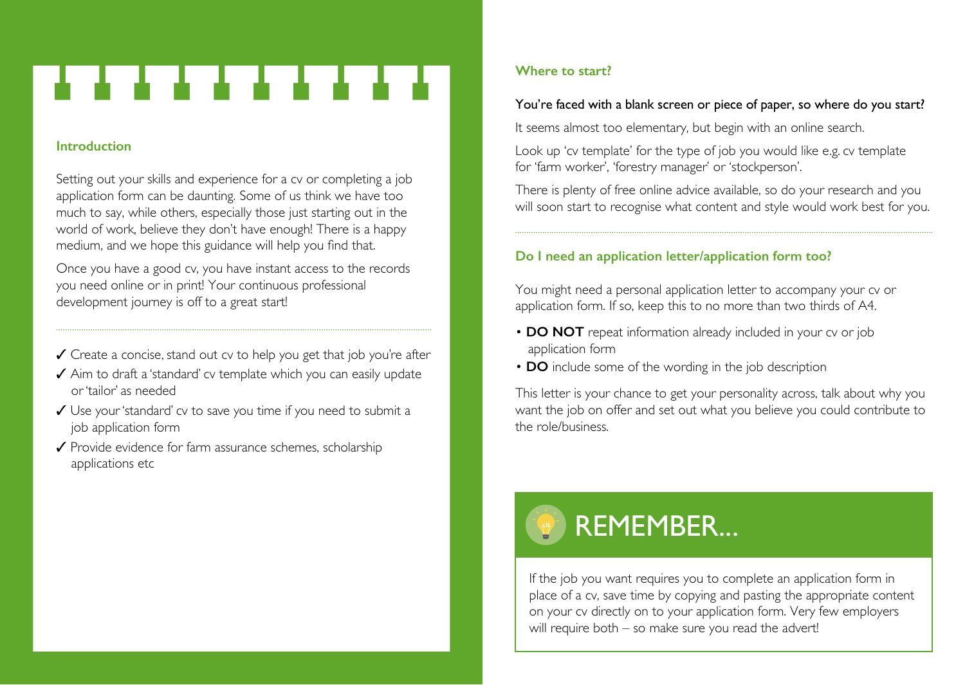# . . . . . . . . .

#### **Introduction**

Setting out your skills and experience for a cv or completing a job application form can be daunting. Some of us think we have too much to say, while others, especially those just starting out in the world of work, believe they don't have enough! There is a happy medium, and we hope this guidance will help you find that.

Once you have a good cv, you have instant access to the records you need online or in print! Your continuous professional development journey is off to a great start!

- ✓ Create a concise, stand out cv to help you get that job you're after
- ✓ Aim to draft a 'standard' cv template which you can easily update or 'tailor' as needed
- ✓ Use your 'standard' cv to save you time if you need to submit a job application form
- ✓ Provide evidence for farm assurance schemes, scholarship applications etc

#### **Where to start?**

#### You're faced with a blank screen or piece of paper, so where do you start?

It seems almost too elementary, but begin with an online search.

Look up 'cv template' for the type of job you would like e.g. cv template for 'farm worker', 'forestry manager' or 'stockperson'.

There is plenty of free online advice available, so do your research and you will soon start to recognise what content and style would work best for you.

#### **Do I need an application letter/application form too?**

You might need a personal application letter to accompany your cv or application form. If so, keep this to no more than two thirds of A4.

- **DO NOT** repeat information already included in your cv or job application form
- **DO** include some of the wording in the job description

This letter is your chance to get your personality across, talk about why you want the job on offer and set out what you believe you could contribute to the role/business.

# REMEMBER...

If the job you want requires you to complete an application form in place of a cv, save time by copying and pasting the appropriate content on your cv directly on to your application form. Very few employers will require both – so make sure you read the advert!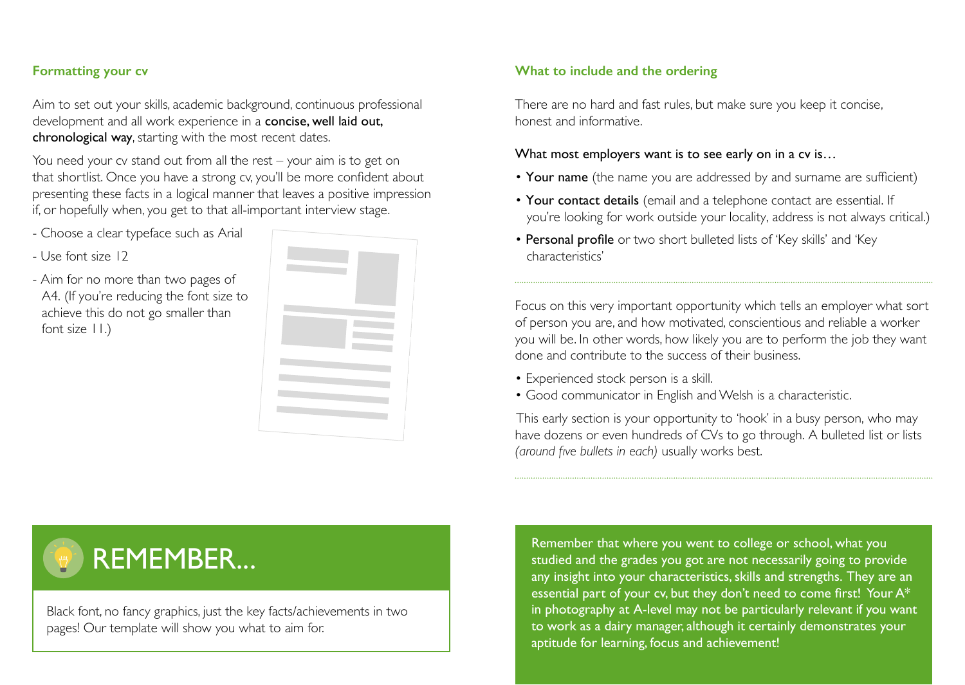#### **Formatting your cv**

Aim to set out your skills, academic background, continuous professional development and all work experience in a concise, well laid out, chronological way, starting with the most recent dates.

You need your cv stand out from all the rest – your aim is to get on that shortlist. Once you have a strong cv, you'll be more confident about presenting these facts in a logical manner that leaves a positive impression if, or hopefully when, you get to that all-important interview stage.

- Choose a clear typeface such as Arial
- Use font size 12
- Aim for no more than two pages of A4. (If you're reducing the font size to achieve this do not go smaller than font size 11.)



#### **What to include and the ordering**

There are no hard and fast rules, but make sure you keep it concise, honest and informative.

#### What most employers want is to see early on in a cv is...

- Your name (the name you are addressed by and surname are sufficient)
- Your contact details (email and a telephone contact are essential. If you're looking for work outside your locality, address is not always critical.)
- Personal profile or two short bulleted lists of 'Key skills' and 'Key characteristics'

Focus on this very important opportunity which tells an employer what sort of person you are, and how motivated, conscientious and reliable a worker you will be. In other words, how likely you are to perform the job they want done and contribute to the success of their business.

- Experienced stock person is a skill.
- Good communicator in English and Welsh is a characteristic.

This early section is your opportunity to 'hook' in a busy person, who may have dozens or even hundreds of CVs to go through. A bulleted list or lists *(around five bullets in each)* usually works best.

### REMEMBER...

Black font, no fancy graphics, just the key facts/achievements in two pages! Our template will show you what to aim for.

Remember that where you went to college or school, what you studied and the grades you got are not necessarily going to provide any insight into your characteristics, skills and strengths. They are an essential part of your cv, but they don't need to come first! Your A\* in photography at A-level may not be particularly relevant if you want to work as a dairy manager, although it certainly demonstrates your aptitude for learning, focus and achievement!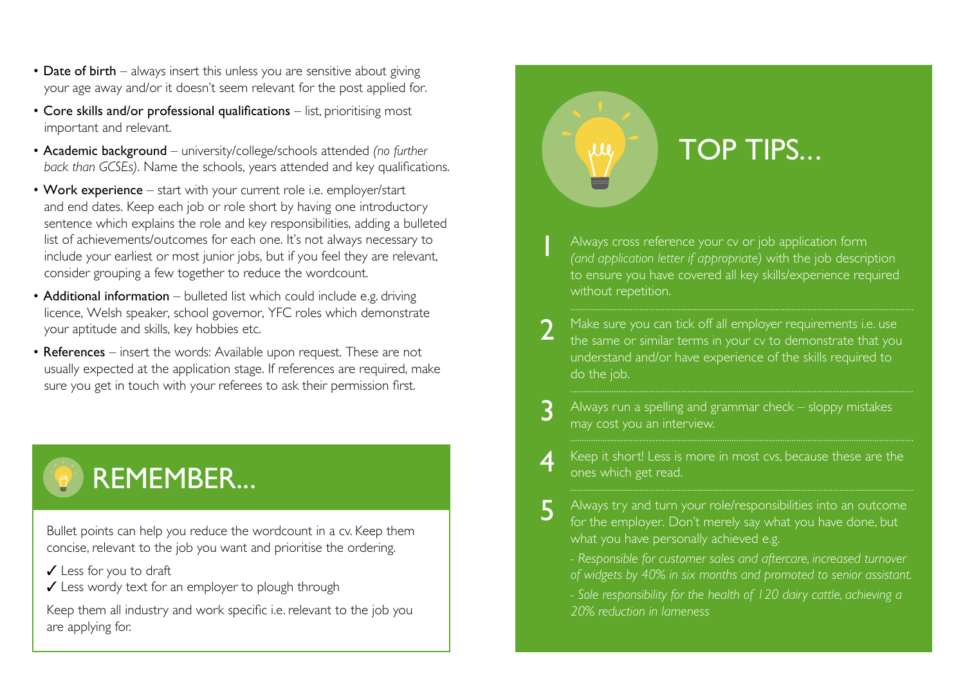- Date of birth always insert this unless you are sensitive about giving your age away and/or it doesn't seem relevant for the post applied for.
- Core skills and/or professional qualifications list, prioritising most important and relevant.
- Academic background university/college/schools attended *(no further back than GCSEs)*. Name the schools, years attended and key qualifications.
- Work experience start with your current role i.e. employer/start and end dates. Keep each job or role short by having one introductory sentence which explains the role and key responsibilities, adding a bulleted list of achievements/outcomes for each one. It's not always necessary to include your earliest or most junior jobs, but if you feel they are relevant, consider grouping a few together to reduce the wordcount.
- Additional information bulleted list which could include e.g. driving licence, Welsh speaker, school governor, YFC roles which demonstrate your aptitude and skills, key hobbies etc.
- References insert the words: Available upon request. These are not usually expected at the application stage. If references are required, make sure you get in touch with your referees to ask their permission first.

## REMEMBER...

Bullet points can help you reduce the wordcount in a cv. Keep them concise, relevant to the job you want and prioritise the ordering.

- ✓ Less for you to draft
- ✓ Less wordy text for an employer to plough through

Keep them all industry and work specific i.e. relevant to the job you are applying for.

### TOP TIPS...

Always cross reference your cv or job application form *(and application letter if appropriate)* with the job description to ensure you have covered all key skills/experience required without repetition.

1

 $\mu$ 

- Make sure you can tick off all employer requirements i.e. use the same or similar terms in your cv to demonstrate that you understand and/or have experience of the skills required to do the job. 2
- Always run a spelling and grammar check sloppy mistakes may cost you an interview. 3
- Keep it short! Less is more in most cvs, because these are the ones which get read. 4
- Always try and turn your role/responsibilities into an outcome for the employer. Don't merely say what you have done, but what you have personally achieved e.g. 5
	- *Responsible for customer sales and aftercare, increased turnover of widgets by 40% in six months and promoted to senior assistant.*
	- *Sole responsibility for the health of 120 dairy cattle, achieving a 20% reduction in lameness*